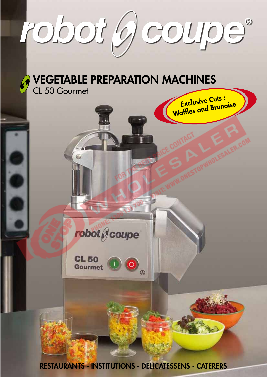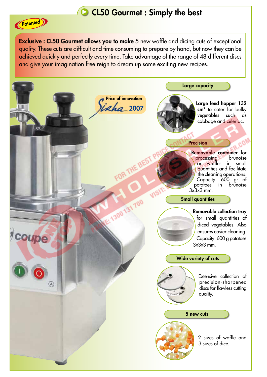## CL50 Gourmet : Simply the best

**Exclusive : CL50 Gourmet allows you to make** 5 new waffle and dicing cuts of exceptional quality. These cuts are difficult and time consuming to prepare by hand, but now they can be achieved quickly and perfectly every time. Take advantage of the range of 48 different discs and give your imagination free reign to dream up some exciting new recipes.

(Patented)

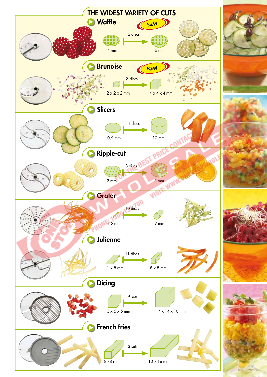